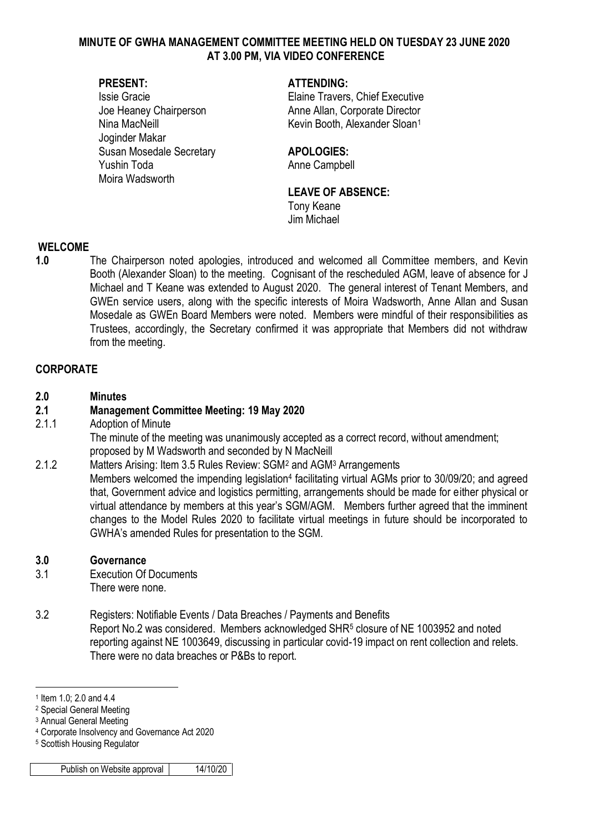#### **MINUTE OF GWHA MANAGEMENT COMMITTEE MEETING HELD ON TUESDAY 23 JUNE 2020 AT 3.00 PM, VIA VIDEO CONFERENCE**

Joginder Makar Susan Mosedale Secretary **APOLOGIES:** Yushin Toda **Anne Campbell** Moira Wadsworth

#### **PRESENT: ATTENDING:**

Issie Gracie Elaine Travers, Chief Executive Joe Heaney Chairperson **Anne Allan, Corporate Director** Nina MacNeill **Kevin Booth, Alexander Sloan**<sup>1</sup>

### **LEAVE OF ABSENCE:**

Tony Keane Jim Michael

#### **WELCOME**

**1.0** The Chairperson noted apologies, introduced and welcomed all Committee members, and Kevin Booth (Alexander Sloan) to the meeting. Cognisant of the rescheduled AGM, leave of absence for J Michael and T Keane was extended to August 2020. The general interest of Tenant Members, and GWEn service users, along with the specific interests of Moira Wadsworth, Anne Allan and Susan Mosedale as GWEn Board Members were noted. Members were mindful of their responsibilities as Trustees, accordingly, the Secretary confirmed it was appropriate that Members did not withdraw from the meeting.

#### **CORPORATE**

#### **2.0 Minutes**

# **2.1 Management Committee Meeting: 19 May 2020**

2.1.1 Adoption of Minute

The minute of the meeting was unanimously accepted as a correct record, without amendment; proposed by M Wadsworth and seconded by N MacNeill

2.1.2 Matters Arising: Item 3.5 Rules Review: SGM<sup>2</sup> and AGM<sup>3</sup> Arrangements Members welcomed the impending legislation<sup>4</sup> facilitating virtual AGMs prior to 30/09/20; and agreed that, Government advice and logistics permitting, arrangements should be made for either physical or virtual attendance by members at this year's SGM/AGM. Members further agreed that the imminent changes to the Model Rules 2020 to facilitate virtual meetings in future should be incorporated to GWHA's amended Rules for presentation to the SGM.

#### **3.0 Governance**

- 3.1 Execution Of Documents There were none.
- 3.2 Registers: Notifiable Events / Data Breaches / Payments and Benefits Report No.2 was considered. Members acknowledged SHR<sup>5</sup> closure of NE 1003952 and noted reporting against NE 1003649, discussing in particular covid-19 impact on rent collection and relets. There were no data breaches or P&Bs to report.

1

<sup>1</sup> Item 1.0; 2.0 and 4.4

<sup>2</sup> Special General Meeting

<sup>3</sup> Annual General Meeting

<sup>4</sup> Corporate Insolvency and Governance Act 2020

<sup>5</sup> Scottish Housing Regulator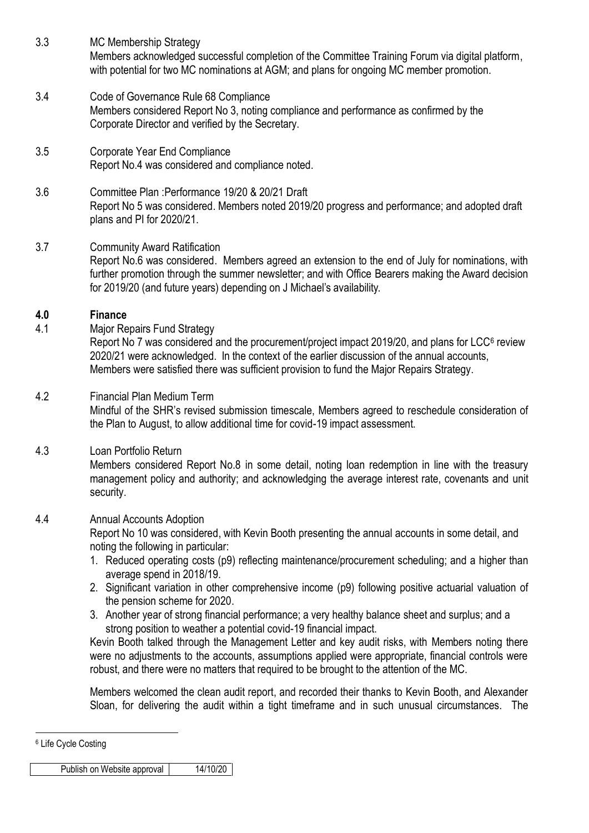- 3.3 MC Membership Strategy Members acknowledged successful completion of the Committee Training Forum via digital platform, with potential for two MC nominations at AGM; and plans for ongoing MC member promotion.
- 3.4 Code of Governance Rule 68 Compliance Members considered Report No 3, noting compliance and performance as confirmed by the Corporate Director and verified by the Secretary.
- 3.5 Corporate Year End Compliance Report No.4 was considered and compliance noted.
- 3.6 Committee Plan :Performance 19/20 & 20/21 Draft Report No 5 was considered. Members noted 2019/20 progress and performance; and adopted draft plans and PI for 2020/21.
- 3.7 Community Award Ratification Report No.6 was considered. Members agreed an extension to the end of July for nominations, with further promotion through the summer newsletter; and with Office Bearers making the Award decision for 2019/20 (and future years) depending on J Michael's availability.

# **4.0 Finance**

4.1 Major Repairs Fund Strategy

Report No 7 was considered and the procurement/project impact 2019/20, and plans for LCC $<sup>6</sup>$  review</sup> 2020/21 were acknowledged. In the context of the earlier discussion of the annual accounts, Members were satisfied there was sufficient provision to fund the Major Repairs Strategy.

4.2 Financial Plan Medium Term Mindful of the SHR's revised submission timescale, Members agreed to reschedule consideration of the Plan to August, to allow additional time for covid-19 impact assessment.

# 4.3 Loan Portfolio Return

Members considered Report No.8 in some detail, noting loan redemption in line with the treasury management policy and authority; and acknowledging the average interest rate, covenants and unit security.

# 4.4 Annual Accounts Adoption

Report No 10 was considered, with Kevin Booth presenting the annual accounts in some detail, and noting the following in particular:

- 1. Reduced operating costs (p9) reflecting maintenance/procurement scheduling; and a higher than average spend in 2018/19.
- 2. Significant variation in other comprehensive income (p9) following positive actuarial valuation of the pension scheme for 2020.
- 3. Another year of strong financial performance; a very healthy balance sheet and surplus; and a strong position to weather a potential covid-19 financial impact.

Kevin Booth talked through the Management Letter and key audit risks, with Members noting there were no adjustments to the accounts, assumptions applied were appropriate, financial controls were robust, and there were no matters that required to be brought to the attention of the MC.

Members welcomed the clean audit report, and recorded their thanks to Kevin Booth, and Alexander Sloan, for delivering the audit within a tight timeframe and in such unusual circumstances. The

1

<sup>6</sup> Life Cycle Costing